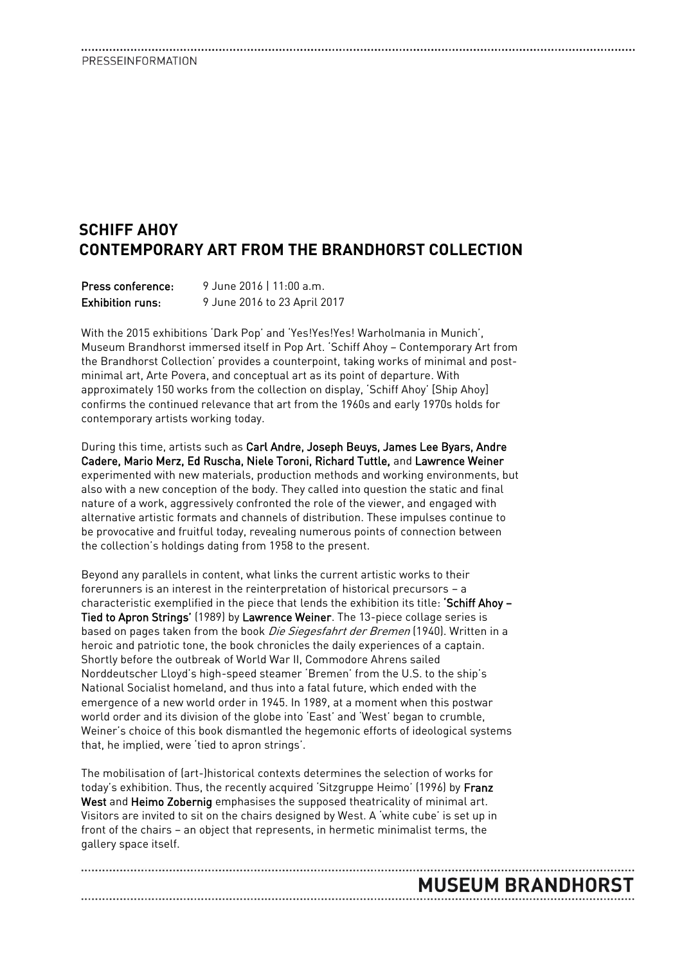### PRESSEINFORMATION

### **SCHIFF AHOY CONTEMPORARY ART FROM THE BRANDHORST COLLECTION**

| Press conference:       | 9 June 2016   11:00 a.m.     |
|-------------------------|------------------------------|
| <b>Exhibition runs:</b> | 9 June 2016 to 23 April 2017 |

With the 2015 exhibitions 'Dark Pop' and 'Yes!Yes!Yes! Warholmania in Munich', Museum Brandhorst immersed itself in Pop Art. 'Schiff Ahoy – Contemporary Art from the Brandhorst Collection' provides a counterpoint, taking works of minimal and postminimal art, Arte Povera, and conceptual art as its point of departure. With approximately 150 works from the collection on display, 'Schiff Ahoy' [Ship Ahoy] confirms the continued relevance that art from the 1960s and early 1970s holds for contemporary artists working today.

During this time, artists such as Carl Andre, Joseph Beuys, James Lee Byars, Andre Cadere, Mario Merz, Ed Ruscha, Niele Toroni, Richard Tuttle, and Lawrence Weiner experimented with new materials, production methods and working environments, but also with a new conception of the body. They called into question the static and final nature of a work, aggressively confronted the role of the viewer, and engaged with alternative artistic formats and channels of distribution. These impulses continue to be provocative and fruitful today, revealing numerous points of connection between the collection's holdings dating from 1958 to the present.

Beyond any parallels in content, what links the current artistic works to their forerunners is an interest in the reinterpretation of historical precursors – a characteristic exemplified in the piece that lends the exhibition its title: 'Schiff Ahoy -Tied to Apron Strings' (1989) by Lawrence Weiner. The 13-piece collage series is based on pages taken from the book Die Siegesfahrt der Bremen (1940). Written in a heroic and patriotic tone, the book chronicles the daily experiences of a captain. Shortly before the outbreak of World War II, Commodore Ahrens sailed Norddeutscher Lloyd's high-speed steamer 'Bremen' from the U.S. to the ship's National Socialist homeland, and thus into a fatal future, which ended with the emergence of a new world order in 1945. In 1989, at a moment when this postwar world order and its division of the globe into 'East' and 'West' began to crumble, Weiner's choice of this book dismantled the hegemonic efforts of ideological systems that, he implied, were 'tied to apron strings'.

The mobilisation of (art-)historical contexts determines the selection of works for today's exhibition. Thus, the recently acquired 'Sitzgruppe Heimo' (1996) by Franz West and Heimo Zobernig emphasises the supposed theatricality of minimal art. Visitors are invited to sit on the chairs designed by West. A 'white cube' is set up in front of the chairs – an object that represents, in hermetic minimalist terms, the gallery space itself.

# **MUSEUM BRANDHORST**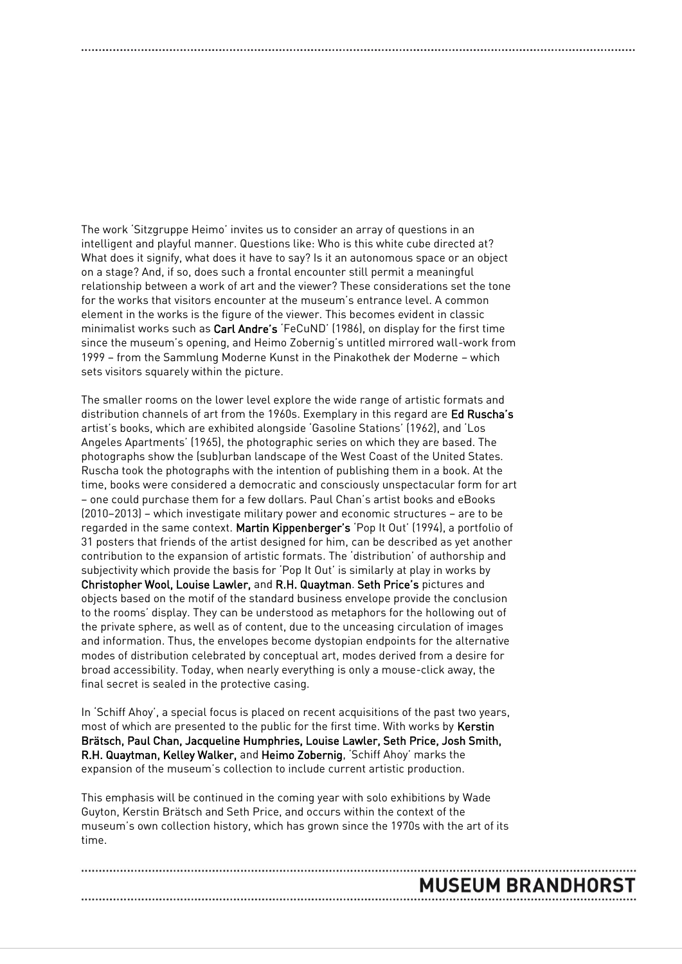The work 'Sitzgruppe Heimo' invites us to consider an array of questions in an intelligent and playful manner. Questions like: Who is this white cube directed at? What does it signify, what does it have to say? Is it an autonomous space or an object on a stage? And, if so, does such a frontal encounter still permit a meaningful relationship between a work of art and the viewer? These considerations set the tone for the works that visitors encounter at the museum's entrance level. A common element in the works is the figure of the viewer. This becomes evident in classic minimalist works such as Carl Andre's 'FeCuND' (1986), on display for the first time since the museum's opening, and Heimo Zobernig's untitled mirrored wall-work from 1999 – from the Sammlung Moderne Kunst in the Pinakothek der Moderne – which sets visitors squarely within the picture.

The smaller rooms on the lower level explore the wide range of artistic formats and distribution channels of art from the 1960s. Exemplary in this regard are Ed Ruscha's artist's books, which are exhibited alongside 'Gasoline Stations' (1962), and 'Los Angeles Apartments' (1965), the photographic series on which they are based. The photographs show the (sub)urban landscape of the West Coast of the United States. Ruscha took the photographs with the intention of publishing them in a book. At the time, books were considered a democratic and consciously unspectacular form for art – one could purchase them for a few dollars. Paul Chan's artist books and eBooks (2010–2013) – which investigate military power and economic structures – are to be regarded in the same context. Martin Kippenberger's 'Pop It Out' (1994), a portfolio of 31 posters that friends of the artist designed for him, can be described as yet another contribution to the expansion of artistic formats. The 'distribution' of authorship and subjectivity which provide the basis for 'Pop It Out' is similarly at play in works by Christopher Wool, Louise Lawler, and R.H. Quaytman. Seth Price's pictures and objects based on the motif of the standard business envelope provide the conclusion to the rooms' display. They can be understood as metaphors for the hollowing out of the private sphere, as well as of content, due to the unceasing circulation of images and information. Thus, the envelopes become dystopian endpoints for the alternative modes of distribution celebrated by conceptual art, modes derived from a desire for broad accessibility. Today, when nearly everything is only a mouse-click away, the final secret is sealed in the protective casing.

In 'Schiff Ahoy', a special focus is placed on recent acquisitions of the past two years, most of which are presented to the public for the first time. With works by Kerstin Brätsch, Paul Chan, Jacqueline Humphries, Louise Lawler, Seth Price, Josh Smith, R.H. Quaytman, Kelley Walker, and Heimo Zobernig, 'Schiff Ahoy' marks the expansion of the museum's collection to include current artistic production.

This emphasis will be continued in the coming year with solo exhibitions by Wade Guyton, Kerstin Brätsch and Seth Price, and occurs within the context of the museum's own collection history, which has grown since the 1970s with the art of its time.

## **MUSEUM BRANDHORST**